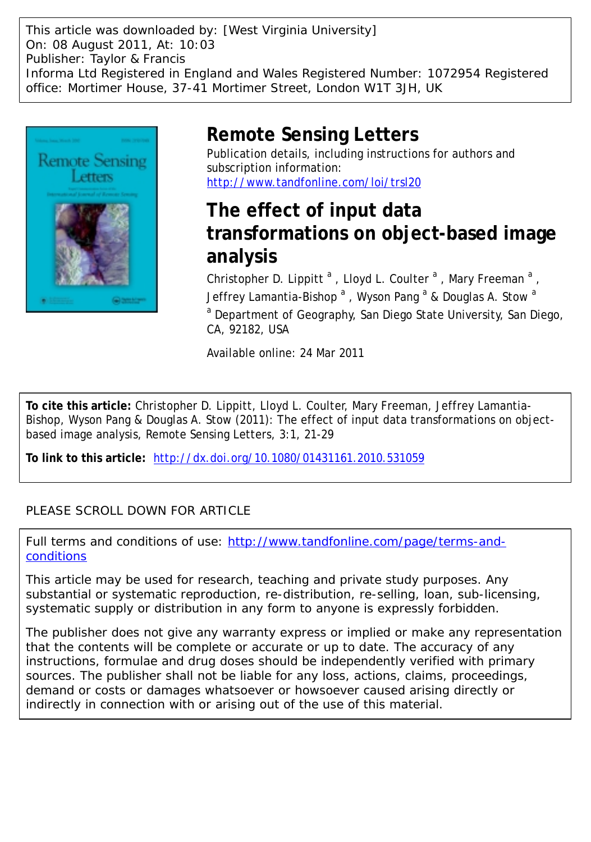This article was downloaded by: [West Virginia University] On: 08 August 2011, At: 10:03 Publisher: Taylor & Francis Informa Ltd Registered in England and Wales Registered Number: 1072954 Registered office: Mortimer House, 37-41 Mortimer Street, London W1T 3JH, UK



# **Remote Sensing Letters**

Publication details, including instructions for authors and subscription information: <http://www.tandfonline.com/loi/trsl20>

# **The effect of input data transformations on object-based image analysis**

Christopher D. Lippitt<sup>a</sup>, Lloyd L. Coulter<sup>a</sup>, Mary Freeman<sup>a</sup>, Jeffrey Lamantia-Bishop  $^{\rm a}$  , Wyson Pang  $^{\rm a}$  & Douglas A. Stow  $^{\rm a}$ <sup>a</sup> Department of Geography, San Diego State University, San Diego, CA, 92182, USA

Available online: 24 Mar 2011

**To cite this article:** Christopher D. Lippitt, Lloyd L. Coulter, Mary Freeman, Jeffrey Lamantia-Bishop, Wyson Pang & Douglas A. Stow (2011): The effect of input data transformations on objectbased image analysis, Remote Sensing Letters, 3:1, 21-29

**To link to this article:** <http://dx.doi.org/10.1080/01431161.2010.531059>

## PLEASE SCROLL DOWN FOR ARTICLE

Full terms and conditions of use: [http://www.tandfonline.com/page/terms-and](http://www.tandfonline.com/page/terms-and-conditions)[conditions](http://www.tandfonline.com/page/terms-and-conditions)

This article may be used for research, teaching and private study purposes. Any substantial or systematic reproduction, re-distribution, re-selling, loan, sub-licensing, systematic supply or distribution in any form to anyone is expressly forbidden.

The publisher does not give any warranty express or implied or make any representation that the contents will be complete or accurate or up to date. The accuracy of any instructions, formulae and drug doses should be independently verified with primary sources. The publisher shall not be liable for any loss, actions, claims, proceedings, demand or costs or damages whatsoever or howsoever caused arising directly or indirectly in connection with or arising out of the use of this material.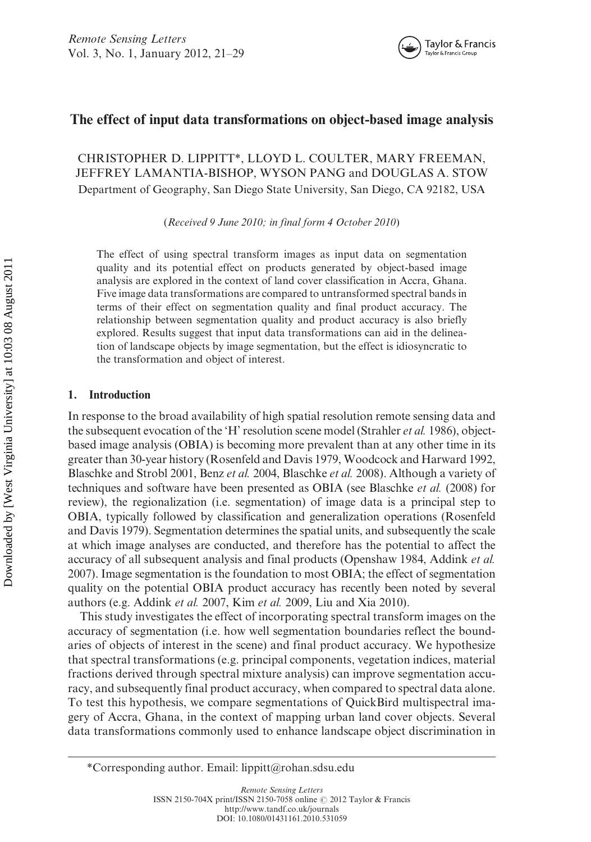## The effect of input data transformations on object-based image analysis

CHRISTOPHER D. LIPPITT\*, LLOYD L. COULTER, MARY FREEMAN, JEFFREY LAMANTIA-BISHOP, WYSON PANG and DOUGLAS A. STOW Department of Geography, San Diego State University, San Diego, CA 92182, USA

(Received 9 June 2010; in final form 4 October 2010)

The effect of using spectral transform images as input data on segmentation quality and its potential effect on products generated by object-based image analysis are explored in the context of land cover classification in Accra, Ghana. Five image data transformations are compared to untransformed spectral bands in terms of their effect on segmentation quality and final product accuracy. The relationship between segmentation quality and product accuracy is also briefly explored. Results suggest that input data transformations can aid in the delineation of landscape objects by image segmentation, but the effect is idiosyncratic to the transformation and object of interest.

### 1. Introduction

In response to the broad availability of high spatial resolution remote sensing data and the subsequent evocation of the 'H' resolution scene model (Strahler *et al.* 1986), objectbased image analysis (OBIA) is becoming more prevalent than at any other time in its greater than 30-year history (Rosenfeld and Davis 1979, Woodcock and Harward 1992, Blaschke and Strobl 2001, Benz et al. 2004, Blaschke et al. 2008). Although a variety of techniques and software have been presented as OBIA (see Blaschke et al. (2008) for review), the regionalization (i.e. segmentation) of image data is a principal step to OBIA, typically followed by classification and generalization operations (Rosenfeld and Davis 1979). Segmentation determines the spatial units, and subsequently the scale at which image analyses are conducted, and therefore has the potential to affect the accuracy of all subsequent analysis and final products (Openshaw 1984, Addink et al. 2007). Image segmentation is the foundation to most OBIA; the effect of segmentation quality on the potential OBIA product accuracy has recently been noted by several authors (e.g. Addink et al. 2007, Kim et al. 2009, Liu and Xia 2010).

This study investigates the effect of incorporating spectral transform images on the accuracy of segmentation (i.e. how well segmentation boundaries reflect the boundaries of objects of interest in the scene) and final product accuracy. We hypothesize that spectral transformations (e.g. principal components, vegetation indices, material fractions derived through spectral mixture analysis) can improve segmentation accuracy, and subsequently final product accuracy, when compared to spectral data alone. To test this hypothesis, we compare segmentations of QuickBird multispectral imagery of Accra, Ghana, in the context of mapping urban land cover objects. Several data transformations commonly used to enhance landscape object discrimination in



<sup>\*</sup>Corresponding author. Email: lippitt@rohan.sdsu.edu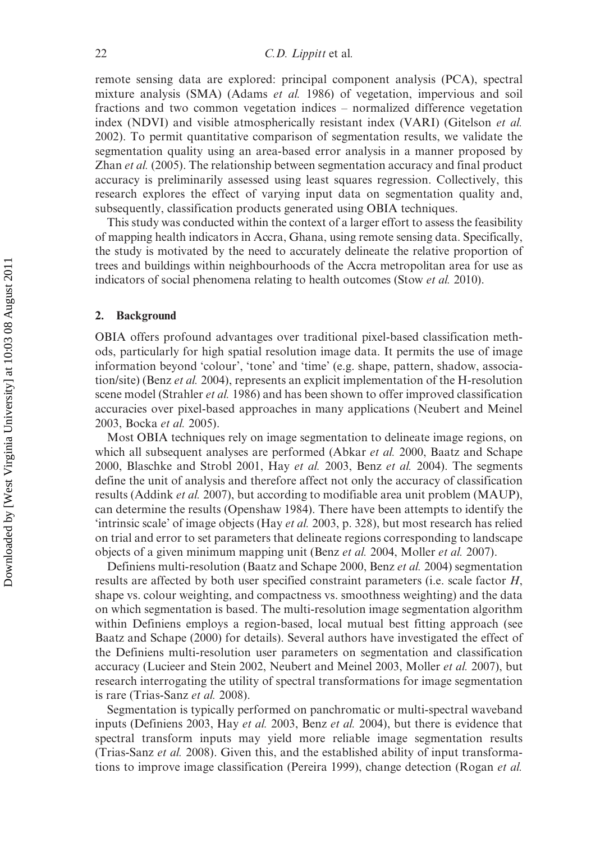remote sensing data are explored: principal component analysis (PCA), spectral mixture analysis (SMA) (Adams et al. 1986) of vegetation, impervious and soil fractions and two common vegetation indices – normalized difference vegetation index (NDVI) and visible atmospherically resistant index (VARI) (Gitelson et al. 2002). To permit quantitative comparison of segmentation results, we validate the segmentation quality using an area-based error analysis in a manner proposed by Zhan et al. (2005). The relationship between segmentation accuracy and final product accuracy is preliminarily assessed using least squares regression. Collectively, this research explores the effect of varying input data on segmentation quality and, subsequently, classification products generated using OBIA techniques.

This study was conducted within the context of a larger effort to assess the feasibility of mapping health indicators in Accra, Ghana, using remote sensing data. Specifically, the study is motivated by the need to accurately delineate the relative proportion of trees and buildings within neighbourhoods of the Accra metropolitan area for use as indicators of social phenomena relating to health outcomes (Stow *et al.* 2010).

#### 2. Background

OBIA offers profound advantages over traditional pixel-based classification methods, particularly for high spatial resolution image data. It permits the use of image information beyond 'colour', 'tone' and 'time' (e.g. shape, pattern, shadow, association/site) (Benz et al. 2004), represents an explicit implementation of the H-resolution scene model (Strahler et al. 1986) and has been shown to offer improved classification accuracies over pixel-based approaches in many applications (Neubert and Meinel 2003, Bocka et al. 2005).

Most OBIA techniques rely on image segmentation to delineate image regions, on which all subsequent analyses are performed (Abkar et al. 2000, Baatz and Schape 2000, Blaschke and Strobl 2001, Hay et al. 2003, Benz et al. 2004). The segments define the unit of analysis and therefore affect not only the accuracy of classification results (Addink et al. 2007), but according to modifiable area unit problem (MAUP), can determine the results (Openshaw 1984). There have been attempts to identify the 'intrinsic scale' of image objects (Hay et al. 2003, p. 328), but most research has relied on trial and error to set parameters that delineate regions corresponding to landscape objects of a given minimum mapping unit (Benz et al. 2004, Moller et al. 2007).

Definiens multi-resolution (Baatz and Schape 2000, Benz et al. 2004) segmentation results are affected by both user specified constraint parameters (i.e. scale factor H, shape vs. colour weighting, and compactness vs. smoothness weighting) and the data on which segmentation is based. The multi-resolution image segmentation algorithm within Definiens employs a region-based, local mutual best fitting approach (see Baatz and Schape (2000) for details). Several authors have investigated the effect of the Definiens multi-resolution user parameters on segmentation and classification accuracy (Lucieer and Stein 2002, Neubert and Meinel 2003, Moller et al. 2007), but research interrogating the utility of spectral transformations for image segmentation is rare (Trias-Sanz et al. 2008).

Segmentation is typically performed on panchromatic or multi-spectral waveband inputs (Definiens 2003, Hay et al. 2003, Benz et al. 2004), but there is evidence that spectral transform inputs may yield more reliable image segmentation results (Trias-Sanz et al. 2008). Given this, and the established ability of input transformations to improve image classification (Pereira 1999), change detection (Rogan et al.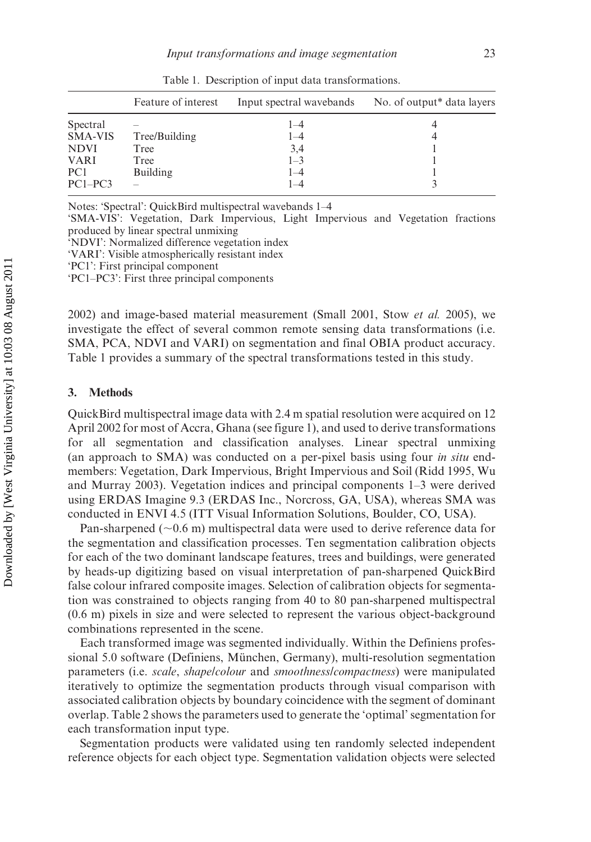|                 | Feature of interest | Input spectral wavebands | No. of output <sup>*</sup> data layers |
|-----------------|---------------------|--------------------------|----------------------------------------|
| Spectral        |                     | l – 4                    |                                        |
| <b>SMA-VIS</b>  | Tree/Building       | $1 - 4$                  |                                        |
| <b>NDVI</b>     | Tree                | 3,4                      |                                        |
| <b>VARI</b>     | Tree                | $1 - 3$                  |                                        |
| PC <sub>1</sub> | Building            | 1–4                      |                                        |
| $PC1-PC3$       |                     | $-4$                     |                                        |

Table 1. Description of input data transformations.

Notes: 'Spectral': QuickBird multispectral wavebands 1–4

'SMA-VIS': Vegetation, Dark Impervious, Light Impervious and Vegetation fractions produced by linear spectral unmixing

'NDVI': Normalized difference vegetation index

'VARI': Visible atmospherically resistant index

'PC1': First principal component

'PC1–PC3': First three principal components

2002) and image-based material measurement (Small 2001, Stow et al. 2005), we investigate the effect of several common remote sensing data transformations (i.e. SMA, PCA, NDVI and VARI) on segmentation and final OBIA product accuracy. Table 1 provides a summary of the spectral transformations tested in this study.

#### 3. Methods

QuickBird multispectral image data with 2.4 m spatial resolution were acquired on 12 April 2002 for most of Accra, Ghana (see figure 1), and used to derive transformations for all segmentation and classification analyses. Linear spectral unmixing (an approach to SMA) was conducted on a per-pixel basis using four in situ endmembers: Vegetation, Dark Impervious, Bright Impervious and Soil (Ridd 1995, Wu and Murray 2003). Vegetation indices and principal components 1–3 were derived using ERDAS Imagine 9.3 (ERDAS Inc., Norcross, GA, USA), whereas SMA was conducted in ENVI 4.5 (ITT Visual Information Solutions, Boulder, CO, USA).

Pan-sharpened ( $\sim 0.6$  m) multispectral data were used to derive reference data for the segmentation and classification processes. Ten segmentation calibration objects for each of the two dominant landscape features, trees and buildings, were generated by heads-up digitizing based on visual interpretation of pan-sharpened QuickBird false colour infrared composite images. Selection of calibration objects for segmentation was constrained to objects ranging from 40 to 80 pan-sharpened multispectral (0.6 m) pixels in size and were selected to represent the various object-background combinations represented in the scene.

Each transformed image was segmented individually. Within the Definiens professional 5.0 software (Definiens, München, Germany), multi-resolution segmentation parameters (i.e. scale, shape/colour and smoothness/compactness) were manipulated iteratively to optimize the segmentation products through visual comparison with associated calibration objects by boundary coincidence with the segment of dominant overlap. Table 2 shows the parameters used to generate the 'optimal' segmentation for each transformation input type.

Segmentation products were validated using ten randomly selected independent reference objects for each object type. Segmentation validation objects were selected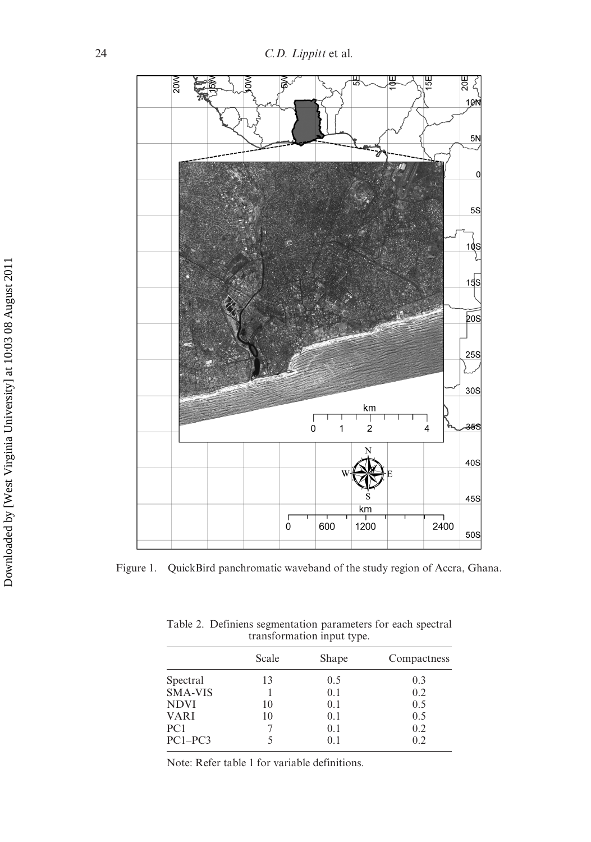

Figure 1. QuickBird panchromatic waveband of the study region of Accra, Ghana.

| transformation input type. |       |             |  |  |
|----------------------------|-------|-------------|--|--|
| Scale                      | Shape | Compactness |  |  |
| 13                         | 0.5   | 0.3         |  |  |
|                            | 0.1   | 0.2         |  |  |
| 10                         | 0.1   | 0.5         |  |  |
| 10                         | 0.1   | 0.5         |  |  |
|                            | 0.1   | 0.2         |  |  |
|                            | 0.1   | 0.2         |  |  |
|                            |       |             |  |  |

Table 2. Definiens segmentation parameters for each spectral

Note: Refer table 1 for variable definitions.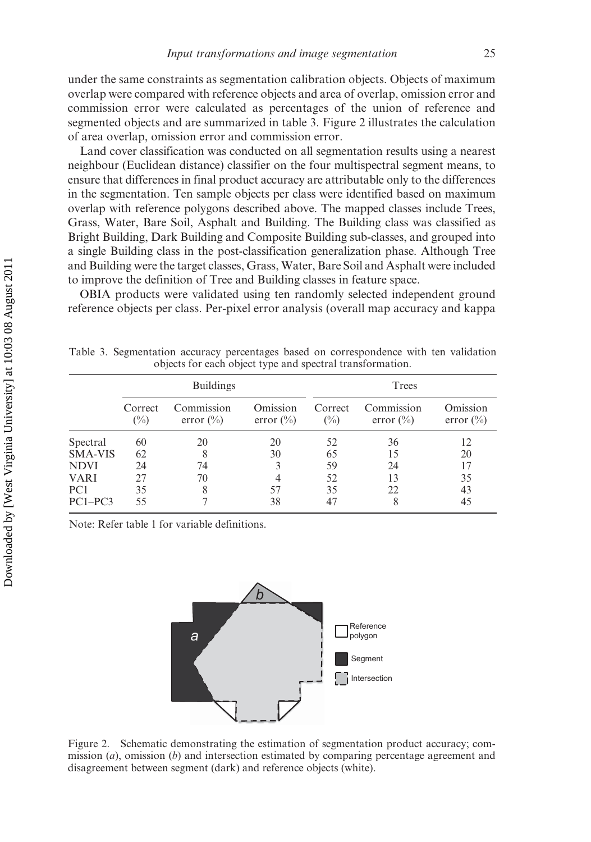under the same constraints as segmentation calibration objects. Objects of maximum overlap were compared with reference objects and area of overlap, omission error and commission error were calculated as percentages of the union of reference and segmented objects and are summarized in table 3. Figure 2 illustrates the calculation of area overlap, omission error and commission error.

Land cover classification was conducted on all segmentation results using a nearest neighbour (Euclidean distance) classifier on the four multispectral segment means, to ensure that differences in final product accuracy are attributable only to the differences in the segmentation. Ten sample objects per class were identified based on maximum overlap with reference polygons described above. The mapped classes include Trees, Grass, Water, Bare Soil, Asphalt and Building. The Building class was classified as Bright Building, Dark Building and Composite Building sub-classes, and grouped into a single Building class in the post-classification generalization phase. Although Tree and Building were the target classes, Grass, Water, Bare Soil and Asphalt were included to improve the definition of Tree and Building classes in feature space.

OBIA products were validated using ten randomly selected independent ground reference objects per class. Per-pixel error analysis (overall map accuracy and kappa

Table 3. Segmentation accuracy percentages based on correspondence with ten validation objects for each object type and spectral transformation.

|                 | <b>Buildings</b>          |                                    |                           | Trees                     |                                    |                           |
|-----------------|---------------------------|------------------------------------|---------------------------|---------------------------|------------------------------------|---------------------------|
|                 | Correct<br>$\binom{0}{0}$ | Commission<br>error $\binom{0}{0}$ | Omission<br>error $(\% )$ | Correct<br>$\binom{0}{0}$ | Commission<br>error $\binom{0}{0}$ | Omission<br>error $(\% )$ |
| Spectral        | 60                        | 20                                 | 20                        | 52                        | 36                                 | 12                        |
| <b>SMA-VIS</b>  | 62                        | 8                                  | 30                        | 65                        | 15                                 | 20                        |
| <b>NDVI</b>     | 24                        | 74                                 | 3                         | 59                        | 24                                 | 17                        |
| <b>VARI</b>     | 27                        | 70                                 | 4                         | 52                        | 13                                 | 35                        |
| PC <sub>1</sub> | 35                        | 8                                  | 57                        | 35                        | 22                                 | 43                        |
| $PC1-PC3$       | 55                        |                                    | 38                        | 47                        |                                    | 45                        |

Note: Refer table 1 for variable definitions.



Figure 2. Schematic demonstrating the estimation of segmentation product accuracy; commission  $(a)$ , omission  $(b)$  and intersection estimated by comparing percentage agreement and disagreement between segment (dark) and reference objects (white).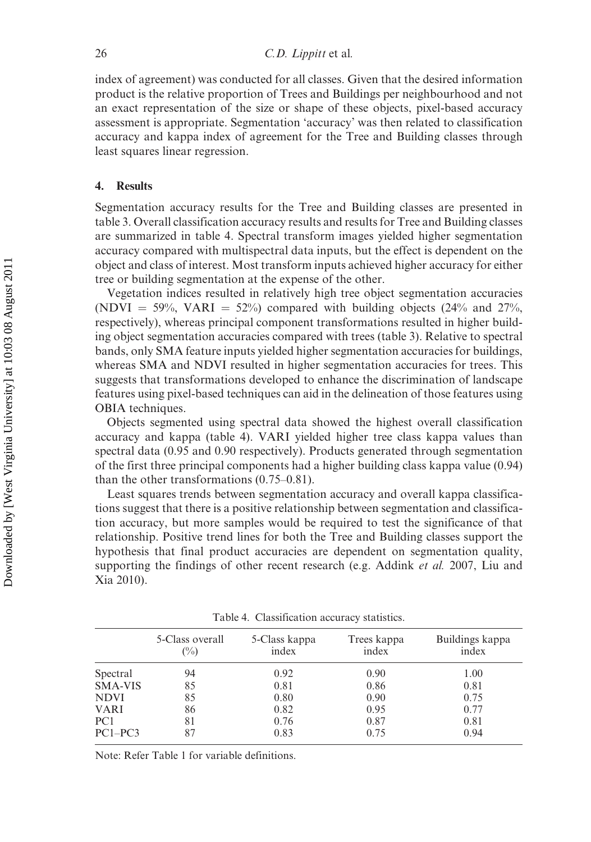index of agreement) was conducted for all classes. Given that the desired information product is the relative proportion of Trees and Buildings per neighbourhood and not an exact representation of the size or shape of these objects, pixel-based accuracy assessment is appropriate. Segmentation 'accuracy' was then related to classification accuracy and kappa index of agreement for the Tree and Building classes through least squares linear regression.

### 4. Results

Segmentation accuracy results for the Tree and Building classes are presented in table 3. Overall classification accuracy results and results for Tree and Building classes are summarized in table 4. Spectral transform images yielded higher segmentation accuracy compared with multispectral data inputs, but the effect is dependent on the object and class of interest. Most transform inputs achieved higher accuracy for either tree or building segmentation at the expense of the other.

Vegetation indices resulted in relatively high tree object segmentation accuracies (NDVI = 59%, VARI = 52%) compared with building objects (24% and 27%, respectively), whereas principal component transformations resulted in higher building object segmentation accuracies compared with trees (table 3). Relative to spectral bands, only SMA feature inputs yielded higher segmentation accuracies for buildings, whereas SMA and NDVI resulted in higher segmentation accuracies for trees. This suggests that transformations developed to enhance the discrimination of landscape features using pixel-based techniques can aid in the delineation of those features using OBIA techniques.

Objects segmented using spectral data showed the highest overall classification accuracy and kappa (table 4). VARI yielded higher tree class kappa values than spectral data (0.95 and 0.90 respectively). Products generated through segmentation of the first three principal components had a higher building class kappa value (0.94) than the other transformations (0.75–0.81).

Least squares trends between segmentation accuracy and overall kappa classifications suggest that there is a positive relationship between segmentation and classification accuracy, but more samples would be required to test the significance of that relationship. Positive trend lines for both the Tree and Building classes support the hypothesis that final product accuracies are dependent on segmentation quality, supporting the findings of other recent research (e.g. Addink *et al.* 2007, Liu and Xia 2010).

|                | 5-Class overall<br>$\binom{0}{0}$ | 5-Class kappa<br>index | Trees kappa<br>index | Buildings kappa<br>index |  |  |
|----------------|-----------------------------------|------------------------|----------------------|--------------------------|--|--|
| Spectral       | 94                                | 0.92                   | 0.90                 | 1.00                     |  |  |
| <b>SMA-VIS</b> | 85                                | 0.81                   | 0.86                 | 0.81                     |  |  |
| <b>NDVI</b>    | 85                                | 0.80                   | 0.90                 | 0.75                     |  |  |
| <b>VARI</b>    | 86                                | 0.82                   | 0.95                 | 0.77                     |  |  |
| PC1            | 81                                | 0.76                   | 0.87                 | 0.81                     |  |  |
| $PC1-PC3$      | 87                                | 0.83                   | 0.75                 | 0.94                     |  |  |

Table 4. Classification accuracy statistics.

Note: Refer Table 1 for variable definitions.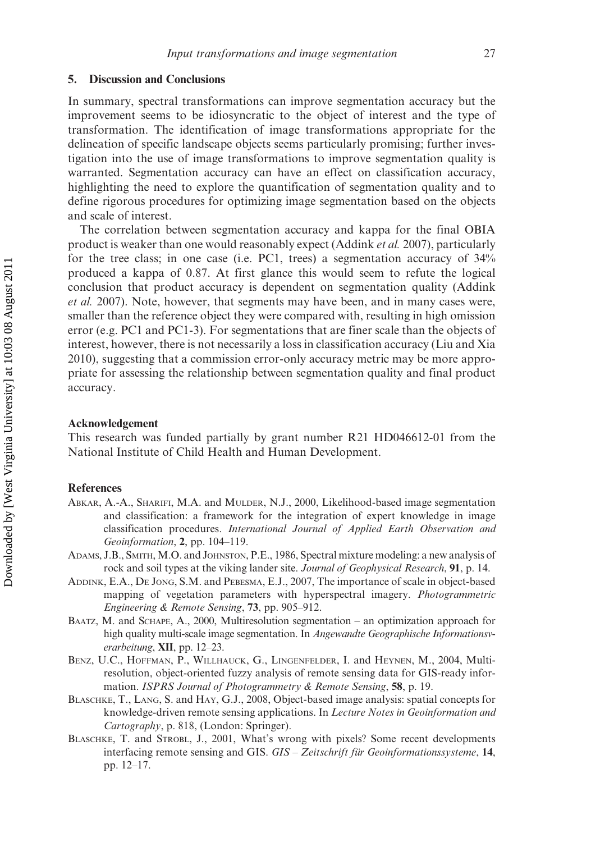#### 5. Discussion and Conclusions

In summary, spectral transformations can improve segmentation accuracy but the improvement seems to be idiosyncratic to the object of interest and the type of transformation. The identification of image transformations appropriate for the delineation of specific landscape objects seems particularly promising; further investigation into the use of image transformations to improve segmentation quality is warranted. Segmentation accuracy can have an effect on classification accuracy, highlighting the need to explore the quantification of segmentation quality and to define rigorous procedures for optimizing image segmentation based on the objects and scale of interest.

The correlation between segmentation accuracy and kappa for the final OBIA product is weaker than one would reasonably expect (Addink et al. 2007), particularly for the tree class; in one case (i.e. PC1, trees) a segmentation accuracy of 34% produced a kappa of 0.87. At first glance this would seem to refute the logical conclusion that product accuracy is dependent on segmentation quality (Addink et al. 2007). Note, however, that segments may have been, and in many cases were, smaller than the reference object they were compared with, resulting in high omission error (e.g. PC1 and PC1-3). For segmentations that are finer scale than the objects of interest, however, there is not necessarily a loss in classification accuracy (Liu and Xia 2010), suggesting that a commission error-only accuracy metric may be more appropriate for assessing the relationship between segmentation quality and final product accuracy.

#### Acknowledgement

This research was funded partially by grant number R21 HD046612-01 from the National Institute of Child Health and Human Development.

#### References

- ABKAR, A.-A., SHARIFI, M.A. and MULDER, N.J., 2000, Likelihood-based image segmentation and classification: a framework for the integration of expert knowledge in image classification procedures. International Journal of Applied Earth Observation and Geoinformation, 2, pp. 104–119.
- ADAMS, J.B., SMITH, M.O. and JOHNSTON, P.E., 1986, Spectral mixture modeling: a new analysis of rock and soil types at the viking lander site. Journal of Geophysical Research, 91, p. 14.
- ADDINK, E.A., DE JONG, S.M. and PEBESMA, E.J., 2007, The importance of scale in object-based mapping of vegetation parameters with hyperspectral imagery. Photogrammetric Engineering & Remote Sensing, 73, pp. 905–912.
- BAATZ, M. and SCHAPE, A., 2000, Multiresolution segmentation an optimization approach for high quality multi-scale image segmentation. In Angewandte Geographische Informationsverarbeitung, XII, pp. 12-23.
- BENZ, U.C., HOFFMAN, P., WILLHAUCK, G., LINGENFELDER, I. and HEYNEN, M., 2004, Multiresolution, object-oriented fuzzy analysis of remote sensing data for GIS-ready information. ISPRS Journal of Photogrammetry & Remote Sensing, 58, p. 19.
- BLASCHKE, T., LANG, S. and HAY, G.J., 2008, Object-based image analysis: spatial concepts for knowledge-driven remote sensing applications. In Lecture Notes in Geoinformation and Cartography, p. 818, (London: Springer).
- BLASCHKE, T. and STROBL, J., 2001, What's wrong with pixels? Some recent developments interfacing remote sensing and GIS.  $GIS - Zeitschrift$  für Geoinformationssysteme, 14, pp. 12–17.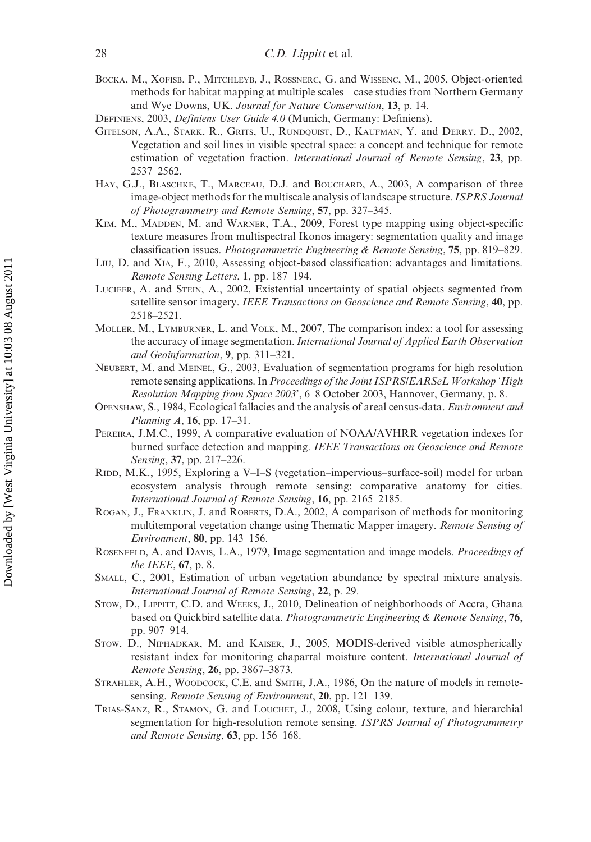- BOCKA, M., XOFISB, P., MITCHLEYB, J., ROSSNERC, G. and WISSENC, M., 2005, Object-oriented methods for habitat mapping at multiple scales – case studies from Northern Germany and Wye Downs, UK. Journal for Nature Conservation, 13, p. 14.
- DEFINIENS, 2003, Definiens User Guide 4.0 (Munich, Germany: Definiens).
- GITELSON, A.A., STARK, R., GRITS, U., RUNDQUIST, D., KAUFMAN, Y. and DERRY, D., 2002, Vegetation and soil lines in visible spectral space: a concept and technique for remote estimation of vegetation fraction. *International Journal of Remote Sensing*, 23, pp. 2537–2562.
- HAY, G.J., BLASCHKE, T., MARCEAU, D.J. and BOUCHARD, A., 2003, A comparison of three image-object methods for the multiscale analysis of landscape structure. ISPRS Journal of Photogrammetry and Remote Sensing, 57, pp. 327–345.
- KIM, M., MADDEN, M. and WARNER, T.A., 2009, Forest type mapping using object-specific texture measures from multispectral Ikonos imagery: segmentation quality and image classification issues. Photogrammetric Engineering & Remote Sensing, 75, pp. 819–829.
- LIU, D. and XIA, F., 2010, Assessing object-based classification: advantages and limitations. Remote Sensing Letters, 1, pp. 187–194.
- LUCIEER, A. and STEIN, A., 2002, Existential uncertainty of spatial objects segmented from satellite sensor imagery. IEEE Transactions on Geoscience and Remote Sensing, 40, pp. 2518–2521.
- MOLLER, M., LYMBURNER, L. and VOLK, M., 2007, The comparison index: a tool for assessing the accuracy of image segmentation. International Journal of Applied Earth Observation and Geoinformation, 9, pp. 311–321.
- NEUBERT, M. and MEINEL, G., 2003, Evaluation of segmentation programs for high resolution remote sensing applications. In Proceedings of the Joint ISPRS/EARSeL Workshop 'High Resolution Mapping from Space 2003', 6–8 October 2003, Hannover, Germany, p. 8.
- OPENSHAW, S., 1984, Ecological fallacies and the analysis of areal census-data. Environment and Planning A, 16, pp. 17–31.
- PEREIRA, J.M.C., 1999, A comparative evaluation of NOAA/AVHRR vegetation indexes for burned surface detection and mapping. IEEE Transactions on Geoscience and Remote Sensing, 37, pp. 217–226.
- RIDD, M.K., 1995, Exploring a V–I–S (vegetation–impervious–surface-soil) model for urban ecosystem analysis through remote sensing: comparative anatomy for cities. International Journal of Remote Sensing, 16, pp. 2165–2185.
- ROGAN, J., FRANKLIN, J. and ROBERTS, D.A., 2002, A comparison of methods for monitoring multitemporal vegetation change using Thematic Mapper imagery. Remote Sensing of Environment, 80, pp. 143–156.
- ROSENFELD, A. and DAVIS, L.A., 1979, Image segmentation and image models. Proceedings of the IEEE, 67, p. 8.
- SMALL, C., 2001, Estimation of urban vegetation abundance by spectral mixture analysis. International Journal of Remote Sensing, 22, p. 29.
- STOW, D., LIPPITT, C.D. and WEEKS, J., 2010, Delineation of neighborhoods of Accra, Ghana based on Quickbird satellite data. Photogrammetric Engineering & Remote Sensing, 76, pp. 907–914.
- STOW, D., NIPHADKAR, M. and KAISER, J., 2005, MODIS-derived visible atmospherically resistant index for monitoring chaparral moisture content. International Journal of Remote Sensing, 26, pp. 3867–3873.
- STRAHLER, A.H., WOODCOCK, C.E. and SMITH, J.A., 1986, On the nature of models in remotesensing. Remote Sensing of Environment, 20, pp. 121–139.
- TRIAS-SANZ, R., STAMON, G. and LOUCHET, J., 2008, Using colour, texture, and hierarchial segmentation for high-resolution remote sensing. ISPRS Journal of Photogrammetry and Remote Sensing, 63, pp. 156–168.